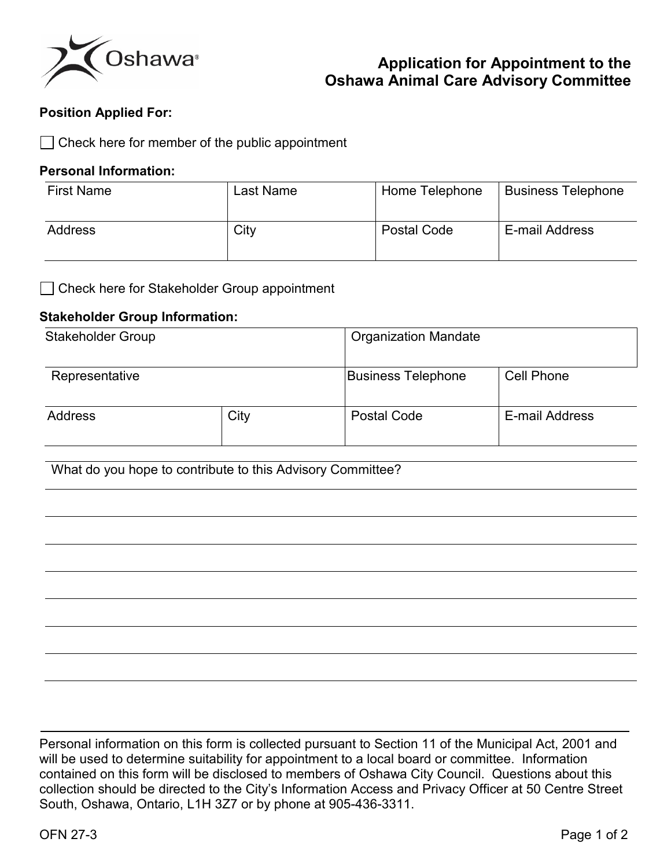

# **Application for Appointment to the Oshawa Animal Care Advisory Committee**

### **Position Applied For:**

Check here for member of the public appointment

#### **Personal Information:**

| <b>First Name</b> | Last Name | Home Telephone | <b>Business Telephone</b> |
|-------------------|-----------|----------------|---------------------------|
| Address           | City      | Postal Code    | E-mail Address            |

□ Check here for Stakeholder Group appointment

#### **Stakeholder Group Information:**

| <b>Stakeholder Group</b> |      | <b>Organization Mandate</b> |                |
|--------------------------|------|-----------------------------|----------------|
| Representative           |      | <b>Business Telephone</b>   | Cell Phone     |
| <b>Address</b>           | City | <b>Postal Code</b>          | E-mail Address |

What do you hope to contribute to this Advisory Committee?

Personal information on this form is collected pursuant to Section 11 of the Municipal Act, 2001 and will be used to determine suitability for appointment to a local board or committee. Information contained on this form will be disclosed to members of Oshawa City Council. Questions about this collection should be directed to the City's Information Access and Privacy Officer at 50 Centre Street South, Oshawa, Ontario, L1H 3Z7 or by phone at 905-436-3311.